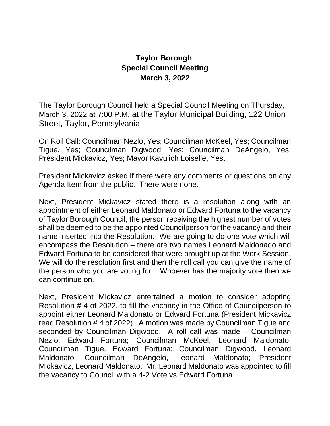## **Taylor Borough Special Council Meeting March 3, 2022**

The Taylor Borough Council held a Special Council Meeting on Thursday, March 3, 2022 at 7:00 P.M. at the Taylor Municipal Building, 122 Union Street, Taylor, Pennsylvania.

On Roll Call: Councilman Nezlo, Yes; Councilman McKeel, Yes; Councilman Tigue, Yes; Councilman Digwood, Yes; Councilman DeAngelo, Yes; President Mickavicz, Yes; Mayor Kavulich Loiselle, Yes.

President Mickavicz asked if there were any comments or questions on any Agenda Item from the public. There were none.

Next, President Mickavicz stated there is a resolution along with an appointment of either Leonard Maldonato or Edward Fortuna to the vacancy of Taylor Borough Council, the person receiving the highest number of votes shall be deemed to be the appointed Councilperson for the vacancy and their name inserted into the Resolution. We are going to do one vote which will encompass the Resolution – there are two names Leonard Maldonado and Edward Fortuna to be considered that were brought up at the Work Session. We will do the resolution first and then the roll call you can give the name of the person who you are voting for. Whoever has the majority vote then we can continue on.

Next, President Mickavicz entertained a motion to consider adopting Resolution # 4 of 2022, to fill the vacancy in the Office of Councilperson to appoint either Leonard Maldonato or Edward Fortuna (President Mickavicz read Resolution # 4 of 2022). A motion was made by Councilman Tigue and seconded by Councilman Digwood. A roll call was made – Councilman Nezlo, Edward Fortuna; Councilman McKeel, Leonard Maldonato; Councilman Tigue, Edward Fortuna; Councilman Digwood, Leonard Maldonato; Councilman DeAngelo, Leonard Maldonato; President Mickavicz, Leonard Maldonato. Mr. Leonard Maldonato was appointed to fill the vacancy to Council with a 4-2 Vote vs Edward Fortuna.